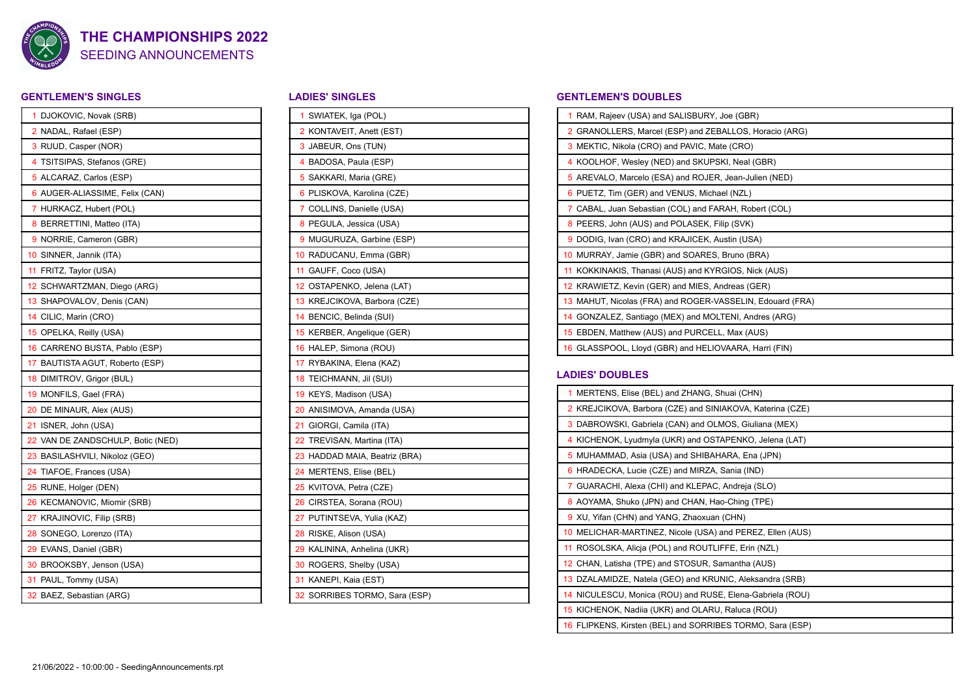

## SEEDING ANNOUNCEMENTS **THE CHAMPIONSHIPS 2022**

## **GENTLEMEN'S SINGLES**

| 1  | DJOKOVIC, Novak (SRB)          |
|----|--------------------------------|
|    | 2 NADAL, Rafael (ESP)          |
|    | 3 RUUD, Casper (NOR)           |
| 4  | TSITSIPAS, Stefanos (GRE)      |
|    | 5 ALCARAZ, Carlos (ESP)        |
|    | 6 AUGER-ALIASSIME, Felix (CAN) |
| 7  | HURKACZ, Hubert (POL)          |
|    | 8 BERRETTINI, Matteo (ITA)     |
|    | 9 NORRIE, Cameron (GBR)        |
| 10 | SINNER, Jannik (ITA)           |
| 11 | FRITZ, Taylor (USA)            |
| 12 | SCHWARTZMAN, Diego (ARG)       |
| 13 | SHAPOVALOV, Denis (CAN)        |
|    | 14 CILIC, Marin (CRO)          |
|    | 15 OPELKA, Reilly (USA)        |
| 16 | CARRENO BUSTA, Pablo (ESP)     |
| 17 | BAUTISTA AGUT, Roberto (ESP)   |
|    | 18 DIMITROV, Grigor (BUL)      |
|    | 19 MONFILS, Gael (FRA)         |
|    | 20 DE MINAUR, Alex (AUS)       |
| 21 | ISNER, John (USA)              |
| 22 | VAN DE ZANDSCHULP, Botic (NED) |
|    | 23 BASILASHVILI, Nikoloz (GEO) |
|    | 24 TIAFOE, Frances (USA)       |
| 25 | RUNE, Holger (DEN)             |
|    | 26 KECMANOVIC, Miomir (SRB)    |
|    | 27 KRAJINOVIC, Filip (SRB)     |
| 28 | SONEGO, Lorenzo (ITA)          |
|    | 29 EVANS, Daniel (GBR)         |
|    | 30 BROOKSBY, Jenson (USA)      |
|    | 31 PAUL, Tommy (USA)           |
|    | 32 BAEZ, Sebastian (ARG)       |

## **LADIES' SINGLES**

| 1 SWIATEK, Iga (POL)          |  |  |  |
|-------------------------------|--|--|--|
| 2 KONTAVEIT, Anett (EST)      |  |  |  |
| 3 JABEUR, Ons (TUN)           |  |  |  |
| 4 BADOSA, Paula (ESP)         |  |  |  |
| 5 SAKKARI, Maria (GRE)        |  |  |  |
| 6 PLISKOVA, Karolina (CZE)    |  |  |  |
| 7 COLLINS, Danielle (USA)     |  |  |  |
| 8 PEGULA, Jessica (USA)       |  |  |  |
| 9 MUGURUZA, Garbine (ESP)     |  |  |  |
| 10 RADUCANU, Emma (GBR)       |  |  |  |
| 11 GAUFF, Coco (USA)          |  |  |  |
| 12 OSTAPENKO, Jelena (LAT)    |  |  |  |
| 13 KREJCIKOVA, Barbora (CZE)  |  |  |  |
| 14 BENCIC, Belinda (SUI)      |  |  |  |
| 15 KERBER, Angelique (GER)    |  |  |  |
| 16 HALEP, Simona (ROU)        |  |  |  |
| 17 RYBAKINA, Elena (KAZ)      |  |  |  |
| 18 TEICHMANN, Jil (SUI)       |  |  |  |
| 19 KEYS, Madison (USA)        |  |  |  |
| 20 ANISIMOVA, Amanda (USA)    |  |  |  |
| 21 GIORGI, Camila (ITA)       |  |  |  |
| 22 TREVISAN, Martina (ITA)    |  |  |  |
| 23 HADDAD MAIA, Beatriz (BRA) |  |  |  |
| 24 MERTENS, Elise (BEL)       |  |  |  |
| 25 KVITOVA, Petra (CZE)       |  |  |  |
| 26 CIRSTEA, Sorana (ROU)      |  |  |  |
| 27 PUTINTSEVA, Yulia (KAZ)    |  |  |  |
| 28 RISKE, Alison (USA)        |  |  |  |
| 29 KALININA, Anhelina (UKR)   |  |  |  |
| 30 ROGERS, Shelby (USA)       |  |  |  |
| 31 KANEPI, Kaia (EST)         |  |  |  |
| 32 SORRIBES TORMO, Sara (ESP) |  |  |  |
|                               |  |  |  |

#### **GENTLEMEN'S DOUBLES**

| 1 RAM, Rajeev (USA) and SALISBURY, Joe (GBR)              |
|-----------------------------------------------------------|
| 2 GRANOLLERS, Marcel (ESP) and ZEBALLOS, Horacio (ARG)    |
| 3 MEKTIC, Nikola (CRO) and PAVIC, Mate (CRO)              |
| 4 KOOLHOF, Wesley (NED) and SKUPSKI, Neal (GBR)           |
| 5 AREVALO, Marcelo (ESA) and ROJER, Jean-Julien (NED)     |
| 6 PUETZ, Tim (GER) and VENUS, Michael (NZL)               |
| 7 CABAL, Juan Sebastian (COL) and FARAH, Robert (COL)     |
| 8 PEERS, John (AUS) and POLASEK, Filip (SVK)              |
| 9 DODIG, Ivan (CRO) and KRAJICEK, Austin (USA)            |
| 10 MURRAY, Jamie (GBR) and SOARES, Bruno (BRA)            |
| 11 KOKKINAKIS, Thanasi (AUS) and KYRGIOS, Nick (AUS)      |
| 12 KRAWIETZ, Kevin (GER) and MIES, Andreas (GER)          |
| 13 MAHUT, Nicolas (FRA) and ROGER-VASSELIN, Edouard (FRA) |
| 14 GONZALEZ, Santiago (MEX) and MOLTENI, Andres (ARG)     |
| 15 EBDEN, Matthew (AUS) and PURCELL, Max (AUS)            |
| 16 GLASSPOOL, Lloyd (GBR) and HELIOVAARA, Harri (FIN)     |
|                                                           |

## **LADIES' DOUBLES**

| 1 MERTENS, Elise (BEL) and ZHANG, Shuai (CHN)             |
|-----------------------------------------------------------|
| 2 KREJCIKOVA, Barbora (CZE) and SINIAKOVA, Katerina (CZE) |
| 3 DABROWSKI, Gabriela (CAN) and OLMOS, Giuliana (MEX)     |
| 4 KICHENOK, Lyudmyla (UKR) and OSTAPENKO, Jelena (LAT)    |
| 5 MUHAMMAD, Asia (USA) and SHIBAHARA, Ena (JPN)           |
| 6 HRADECKA, Lucie (CZE) and MIRZA, Sania (IND)            |
| 7 GUARACHI, Alexa (CHI) and KLEPAC, Andreja (SLO)         |
| 8 AOYAMA, Shuko (JPN) and CHAN, Hao-Ching (TPE)           |
| 9 XU, Yifan (CHN) and YANG, Zhaoxuan (CHN)                |
| 10 MELICHAR-MARTINEZ, Nicole (USA) and PEREZ, Ellen (AUS) |
| 11 ROSOLSKA, Alicia (POL) and ROUTLIFFE, Erin (NZL)       |
| 12 CHAN, Latisha (TPE) and STOSUR, Samantha (AUS)         |
| 13 DZALAMIDZE, Natela (GEO) and KRUNIC, Aleksandra (SRB)  |
| 14 NICULESCU, Monica (ROU) and RUSE, Elena-Gabriela (ROU) |
| 15 KICHENOK, Nadiia (UKR) and OLARU, Raluca (ROU)         |
| 16 FLIPKENS, Kirsten (BEL) and SORRIBES TORMO, Sara (ESP) |